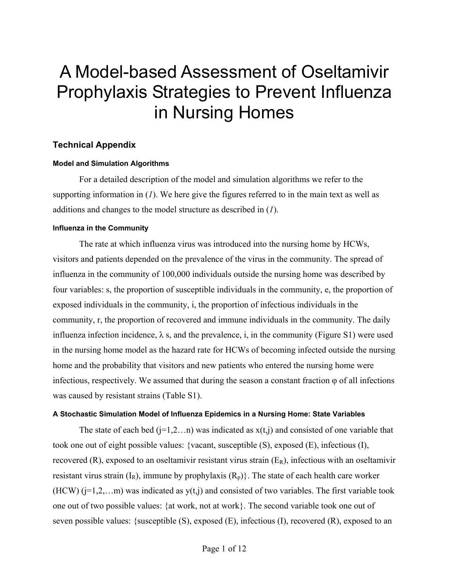# A Model-based Assessment of Oseltamivir Prophylaxis Strategies to Prevent Influenza in Nursing Homes

## **Technical Appendix**

## **Model and Simulation Algorithms**

For a detailed description of the model and simulation algorithms we refer to the supporting information in (*1*). We here give the figures referred to in the main text as well as additions and changes to the model structure as described in (*1*).

## **Influenza in the Community**

The rate at which influenza virus was introduced into the nursing home by HCWs, visitors and patients depended on the prevalence of the virus in the community. The spread of influenza in the community of 100,000 individuals outside the nursing home was described by four variables: s, the proportion of susceptible individuals in the community, e, the proportion of exposed individuals in the community, i, the proportion of infectious individuals in the community, r, the proportion of recovered and immune individuals in the community. The daily influenza infection incidence,  $\lambda$  s, and the prevalence, i, in the community (Figure S1) were used in the nursing home model as the hazard rate for HCWs of becoming infected outside the nursing home and the probability that visitors and new patients who entered the nursing home were infectious, respectively. We assumed that during the season a constant fraction  $\varphi$  of all infections was caused by resistant strains (Table S1).

## **A Stochastic Simulation Model of Influenza Epidemics in a Nursing Home: State Variables**

The state of each bed  $(j=1,2...n)$  was indicated as  $x(t,j)$  and consisted of one variable that took one out of eight possible values: {vacant, susceptible (S), exposed (E), infectious (I), recovered (R), exposed to an oseltamivir resistant virus strain  $(E_R)$ , infectious with an oseltamivir resistant virus strain  $(I_R)$ , immune by prophylaxis  $(R_n)$ . The state of each health care worker (HCW)  $(i=1,2,...m)$  was indicated as  $y(t,j)$  and consisted of two variables. The first variable took one out of two possible values: {at work, not at work}. The second variable took one out of seven possible values: {susceptible (S), exposed (E), infectious (I), recovered (R), exposed to an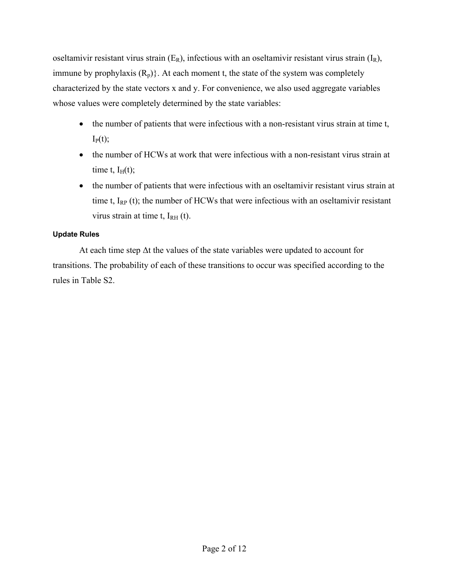oseltamivir resistant virus strain  $(E_R)$ , infectious with an oseltamivir resistant virus strain  $(I_R)$ , immune by prophylaxis  $(R_p)$ . At each moment t, the state of the system was completely characterized by the state vectors x and y. For convenience, we also used aggregate variables whose values were completely determined by the state variables:

- the number of patients that were infectious with a non-resistant virus strain at time t,  $I_P(t);$
- the number of HCWs at work that were infectious with a non-resistant virus strain at time t,  $I_H(t)$ ;
- the number of patients that were infectious with an oseltamivir resistant virus strain at time t,  $I_{RP}$  (t); the number of HCWs that were infectious with an oseltamivir resistant virus strain at time t,  $I<sub>RH</sub>$  (t).

# **Update Rules**

At each time step Δt the values of the state variables were updated to account for transitions. The probability of each of these transitions to occur was specified according to the rules in Table S2.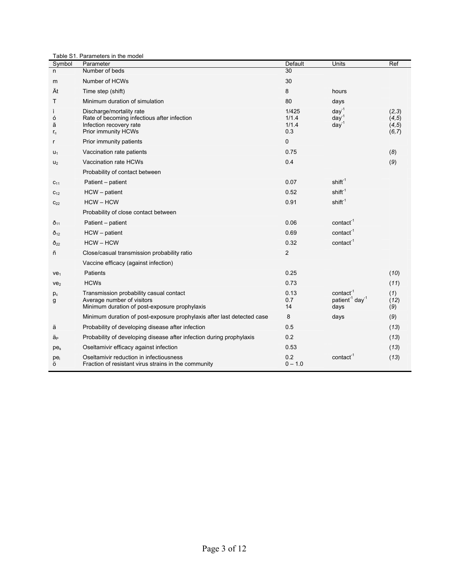|                      | Table S1. Parameters in the model                                                                                         |                                |                                                              |                                     |
|----------------------|---------------------------------------------------------------------------------------------------------------------------|--------------------------------|--------------------------------------------------------------|-------------------------------------|
| Symbol               | Parameter                                                                                                                 | Default                        | Units                                                        | Ref                                 |
| n                    | Number of beds                                                                                                            | 30                             |                                                              |                                     |
| m                    | Number of HCWs                                                                                                            | 30                             |                                                              |                                     |
| Ät                   | Time step (shift)                                                                                                         | 8                              | hours                                                        |                                     |
| т                    | Minimum duration of simulation                                                                                            | 80                             | days                                                         |                                     |
| ì<br>ó<br>ã<br>$r_c$ | Discharge/mortality rate<br>Rate of becoming infectious after infection<br>Infection recovery rate<br>Prior immunity HCWs | 1/425<br>1/1.4<br>1/1.4<br>0.3 | $day^{-1}$<br>$day^{-1}$<br>$day^{-1}$                       | (2,3)<br>(4, 5)<br>(4, 5)<br>(6, 7) |
| r                    | Prior immunity patients                                                                                                   | 0                              |                                                              |                                     |
| $U_1$                | Vaccination rate patients                                                                                                 | 0.75                           |                                                              | (8)                                 |
| $U_2$                | Vaccination rate HCWs                                                                                                     | 0.4                            |                                                              | (9)                                 |
|                      | Probability of contact between                                                                                            |                                |                                                              |                                     |
| $C_{11}$             | Patient - patient                                                                                                         | 0.07                           | shift <sup>-1</sup>                                          |                                     |
| $C_{12}$             | $HCW - patient$                                                                                                           | 0.52                           | $\text{shift}^{-1}$                                          |                                     |
| $C_{22}$             | $HCW - HCW$                                                                                                               | 0.91                           | $shift-1$                                                    |                                     |
|                      | Probability of close contact between                                                                                      |                                |                                                              |                                     |
| $\delta_{11}$        | Patient – patient                                                                                                         | 0.06                           | contact <sup>-1</sup>                                        |                                     |
| $\tilde{O}_{12}$     | $HCW - patient$                                                                                                           | 0.69                           | contact <sup>-1</sup>                                        |                                     |
| $\delta_{22}$        | $HCW - HCW$                                                                                                               | 0.32                           | contact <sup>-1</sup>                                        |                                     |
| ñ                    | Close/casual transmission probability ratio                                                                               | $\overline{2}$                 |                                                              |                                     |
|                      | Vaccine efficacy (against infection)                                                                                      |                                |                                                              |                                     |
| $ve_1$               | Patients                                                                                                                  | 0.25                           |                                                              | (10)                                |
| ve <sub>2</sub>      | <b>HCWs</b>                                                                                                               | 0.73                           |                                                              | (11)                                |
| $p_c$<br>g           | Transmission probability casual contact<br>Average number of visitors<br>Minimum duration of post-exposure prophylaxis    | 0.13<br>0.7<br>14              | $contact-1$<br>patient <sup>1</sup> day <sup>1</sup><br>days | (1)<br>(12)<br>(9)                  |
|                      | Minimum duration of post-exposure prophylaxis after last detected case                                                    | 8                              | days                                                         | (9)                                 |
| ä                    | Probability of developing disease after infection                                                                         | 0.5                            |                                                              | (13)                                |
| ä <sub>P</sub>       | Probability of developing disease after infection during prophylaxis                                                      | 0.2                            |                                                              | (13)                                |
| $pe_s$               | Oseltamivir efficacy against infection                                                                                    | 0.53                           |                                                              | (13)                                |
| pei<br>Ö             | Oseltamivir reduction in infectiousness<br>Fraction of resistant virus strains in the community                           | 0.2<br>$0 - 1.0$               | contact                                                      | (13)                                |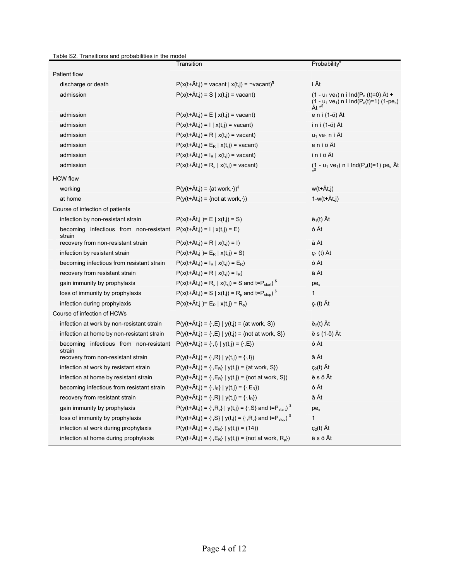Table S2. Transitions and probabilities in the model

|                                                  | Transition                                                                                 | Probability <sup>#</sup>                                                                                                                              |
|--------------------------------------------------|--------------------------------------------------------------------------------------------|-------------------------------------------------------------------------------------------------------------------------------------------------------|
| Patient flow                                     |                                                                                            |                                                                                                                                                       |
| discharge or death                               | $P(x(t+\text{At},j)) = \text{vacant}   x(t,j) = \neg \text{vacant})^{\text{T}}$            | ì Ät                                                                                                                                                  |
| admission                                        | $P(x(t+\text{At},j) = S   x(t,j) = vacant)$                                                | $(1 - u_1 v e_1)$ n i Ind(P <sub>o</sub> (t)=0) At +<br>$(1 - u_1 \vee e_1)$ n i lnd(P <sub>o</sub> (t)=1) (1-pe <sub>s</sub> )<br>Ät * <sup>\$</sup> |
| admission                                        | $P(x(t+At,j) = E   x(t,j) = vacant)$                                                       | e n ì (1-ö) Ät                                                                                                                                        |
| admission                                        | $P(x(t+\text{At},j) = 1   x(t,j) = \text{vacant})$                                         | i n ì (1-ö) Ät                                                                                                                                        |
| admission                                        | $P(x(t+\tilde{A}t,j) = R   x(t,j) = vacant)$                                               | $u_1$ ve <sub>1</sub> n ì Ät                                                                                                                          |
| admission                                        | $P(x(t+\tilde{A}t,j) = E_R   x(t,j) = vacant)$                                             | eniöÄt                                                                                                                                                |
| admission                                        | $P(x(t+\text{At},j) = I_R   x(t,j) = \text{vacant})$                                       | iniöÄt                                                                                                                                                |
| admission                                        | $P(x(t+\hat{A}t_i)) = R_p   x(t_i)) = vacant$                                              | $(1 - u_1 \vee e_1)$ n i Ind(P <sub>o</sub> (t)=1) pe <sub>s</sub> Ät                                                                                 |
| <b>HCW flow</b>                                  |                                                                                            |                                                                                                                                                       |
| working                                          | $P(y(t+\text{At},j)) = \{at work, \cdot\})^{\ddagger}$                                     | w(t+Ät,j)                                                                                                                                             |
| at home                                          | $P(y(t+\tilde{A}t,j) = \{not \text{ not at work}, \cdot\})$                                | $1-w(t+\text{At},i)$                                                                                                                                  |
| Course of infection of patients                  |                                                                                            |                                                                                                                                                       |
| infection by non-resistant strain                | $P(x(t+\text{At},i)) = E   x(t,i) = S)$                                                    | $\ddot{\mathbf{e}}_1(t)$ At                                                                                                                           |
| becoming infectious from non-resistant           | $P(x(t+\text{At},j) = 1   x(t,j) = E)$                                                     | ó Ät                                                                                                                                                  |
| strain<br>recovery from non-resistant strain     | $P(x(t+\text{At},i)) = R   x(t,i) = 1)$                                                    | ã Ät                                                                                                                                                  |
| infection by resistant strain                    | $P(x(t+\text{At},i)) = E_R   x(t,i) = S)$                                                  | $\varsigma_1$ (t) At                                                                                                                                  |
| becoming infectious from resistant strain        | $P(x(t+\text{At},j)) = I_R   x(t,j) = E_R)$                                                | ó Ät                                                                                                                                                  |
| recovery from resistant strain                   | $P(x(t+\text{At},j) = R   x(t,j) = I_R)$                                                   | ã Ät                                                                                                                                                  |
| gain immunity by prophylaxis                     | $P(x(t+\text{At},i)) = R_{p}   x(t,i) = S$ and t= $P_{start}$ ) <sup>\$</sup>              | $pe_s$                                                                                                                                                |
| loss of immunity by prophylaxis                  | $P(x(t+\text{At},j) = S   x(t,j) = R_p \text{ and } t = P_{stop})^S$                       | $\mathbf{1}$                                                                                                                                          |
| infection during prophylaxis                     | $P(x(t+\tilde{A}t,i))=E_R   x(t,i)=R_n)$                                                   | $\varsigma_1(t)$ At                                                                                                                                   |
| Course of infection of HCWs                      |                                                                                            |                                                                                                                                                       |
| infection at work by non-resistant strain        | $P(y(t+At, j) = {.,E}   y(t, j) = {at work, S})$                                           | $\ddot{\mathbf{e}}_2(t)$ At                                                                                                                           |
| infection at home by non-resistant strain        | $P(y(t+At,j) = {.,E}   y(t,j) = {not at work, S})$                                         | ë s (1-ö) Ät                                                                                                                                          |
| becoming infectious from non-resistant<br>strain | $P(y(t+\text{At},j) = \{\cdot, I\}   y(t,j) = \{\cdot, E\})$                               | ó Ät                                                                                                                                                  |
| recovery from non-resistant strain               | $P(y(t+At,j) = \{\cdot, R\}   y(t,j) = \{\cdot, I\})$                                      | ã Ät                                                                                                                                                  |
| infection at work by resistant strain            | $P(y(t+\text{Ät},j) = \{ \cdot, E_R \}   y(t,j) = \{ \text{at work}, S \})$                | $\varsigma_2(t)$ At                                                                                                                                   |
| infection at home by resistant strain            | $P(y(t+At, j) = \{ \cdot, E_R \}   y(t, j) = \{ \text{not at work, S} \})$                 | ësöÄt                                                                                                                                                 |
| becoming infectious from resistant strain        | $P(y(t+At,j) = \{\cdot, I_R\}   y(t,j) = \{\cdot, E_R\})$                                  | ó Ät                                                                                                                                                  |
| recovery from resistant strain                   | $P(y(t+At,j) = {.,R}   y(t,j) = {.,IR})$                                                   | ã Ät                                                                                                                                                  |
| gain immunity by prophylaxis                     | $P(y(t+\text{At},j) = \{\cdot, R_p\}   y(t,j) = \{\cdot, S\}$ and $t = P_{start}$ s        | pes                                                                                                                                                   |
| loss of immunity by prophylaxis                  | $P(y(t+\text{At},j) = \{\cdot, S\}   y(t,j) = \{\cdot, R_p\} \text{ and } t = P_{stop})^S$ | $\mathbf{1}$                                                                                                                                          |
| infection at work during prophylaxis             | $P(y(t+\text{Ät},j) = {.,E_R}   y(t,j) = (14))$                                            | $\varsigma_2(t)$ At                                                                                                                                   |
| infection at home during prophylaxis             | $P(y(t+\text{At},j) = \{ \cdot, E_R \}   y(t,j) = \{ \text{not at work}, R_p \})$          | ësöÄt                                                                                                                                                 |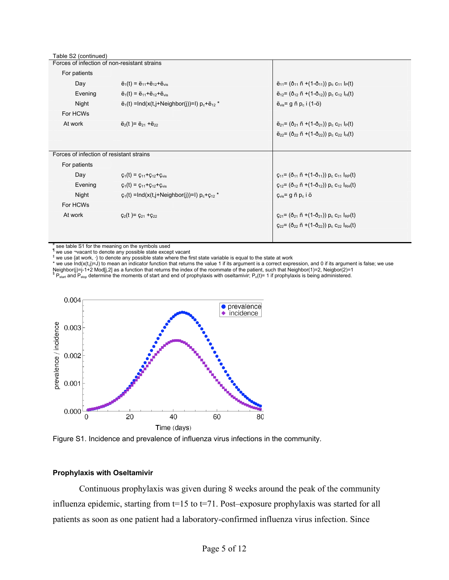| $\ddot{e}_1(t) = \ddot{e}_{11} + \ddot{e}_{12} + \ddot{e}_{vis}$     | $\ddot{e}_{11} = (\ddot{0}_{11} \ddot{n} + (1 - \ddot{0}_{11})) p_c C_{11} l_P(t)$                                  |
|----------------------------------------------------------------------|---------------------------------------------------------------------------------------------------------------------|
| $\ddot{e}_1(t) = \ddot{e}_{11} + \ddot{e}_{12} + \ddot{e}_{vis}$     | $\ddot{e}_{12}$ = ( $\ddot{0}_{12}$ $\ddot{p}$ +(1- $\ddot{0}_{12}$ )) $p_c$ C <sub>12</sub> l <sub>H</sub> (t)     |
| $\ddot{e}_1(t)$ = Ind(x(t,j+Neighbor(j))=1) $p_c + \ddot{e}_{12}$ *  | $\ddot{e}_{vis}$ = g ñ p <sub>c</sub> i (1-ö)                                                                       |
|                                                                      |                                                                                                                     |
| $\ddot{e}_2(t) = \ddot{e}_{21} + \ddot{e}_{22}$                      | $\ddot{e}_{21}$ = ( $\ddot{0}_{21}$ $\ddot{n}$ +(1- $\ddot{0}_{21}$ )) $p_c$ C <sub>21</sub> l <sub>P</sub> (t)     |
|                                                                      | $\ddot{e}_{22}$ = ( $\ddot{O}_{22}$ $\ddot{P}_{1}$ +(1- $\ddot{O}_{22}$ )) $p_c$ C <sub>22</sub> l <sub>H</sub> (t) |
|                                                                      |                                                                                                                     |
|                                                                      |                                                                                                                     |
|                                                                      |                                                                                                                     |
| $\varsigma_1(t) = \varsigma_{11} + \varsigma_{12} + \varsigma_{vis}$ | $Q_{11} = (\delta_{11} \cap + (1-\delta_{11})) p_c c_{11} I_{RP}(t)$                                                |
| $\varsigma_1(t) = \varsigma_{11} + \varsigma_{12} + \varsigma_{vis}$ | $C_{12}$ = ( $\delta_{12}$ ñ +(1- $\delta_{12}$ )) p <sub>c</sub> $C_{12}$ l <sub>RH</sub> (t)                      |
| $c_1(t) = Ind(x(t,i+Neighbour))=1) p_c + c_{12}$                     | $\mathbf{c}_{\text{vis}}$ = g ñ p <sub>c</sub> i ö                                                                  |
|                                                                      |                                                                                                                     |
| $q_2(t) = q_{21} + q_{22}$                                           | $C_{21} = (\delta_{21} \tilde{n} + (1 - \delta_{21})) p_c C_{21} I_{RP}(t)$                                         |
|                                                                      | $C_{22} = (\delta_{22} \tilde{n} + (1 - \delta_{22})) p_c C_{22} I_{RH}(t)$                                         |
|                                                                      |                                                                                                                     |
|                                                                      | Forces of infection of non-resistant strains<br>Forces of infection of resistant strains                            |

# see table S1 for the meaning on the symbols used

¶ we use ¬vacant to denote any possible state except vacant

 $^{\ddagger}$  we use {at work,  $\cdot$ } to denote any possible state where the first state variable is equal to the state at work \* we use Ind(x(t,j)=J) to mean an indicator function that returns the value 1 if its argument is a correct expression, and 0 if its argument is false; we use

Neighbor(j)=j-1+2 Mod[j,2] as a function that returns the index of the roommate of the patient, such that Neighbor(1)=2, Neigbor(2)=1<br><sup>\$</sup> P<sub>start</sub> and P<sub>stop</sub> determine the moments of start and end of prophylaxis with osel



Figure S1. Incidence and prevalence of influenza virus infections in the community.

#### **Prophylaxis with Oseltamivir**

Continuous prophylaxis was given during 8 weeks around the peak of the community influenza epidemic, starting from t=15 to t=71. Post–exposure prophylaxis was started for all patients as soon as one patient had a laboratory-confirmed influenza virus infection. Since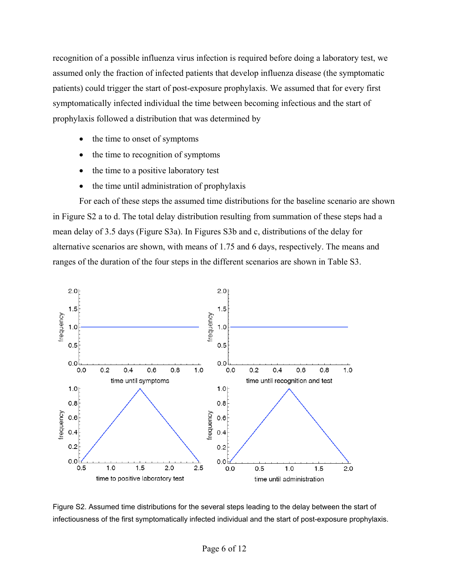recognition of a possible influenza virus infection is required before doing a laboratory test, we assumed only the fraction of infected patients that develop influenza disease (the symptomatic patients) could trigger the start of post-exposure prophylaxis. We assumed that for every first symptomatically infected individual the time between becoming infectious and the start of prophylaxis followed a distribution that was determined by

- the time to onset of symptoms
- the time to recognition of symptoms
- the time to a positive laboratory test
- the time until administration of prophylaxis

For each of these steps the assumed time distributions for the baseline scenario are shown in Figure S2 a to d. The total delay distribution resulting from summation of these steps had a mean delay of 3.5 days (Figure S3a). In Figures S3b and c, distributions of the delay for alternative scenarios are shown, with means of 1.75 and 6 days, respectively. The means and ranges of the duration of the four steps in the different scenarios are shown in Table S3.



Figure S2. Assumed time distributions for the several steps leading to the delay between the start of infectiousness of the first symptomatically infected individual and the start of post-exposure prophylaxis.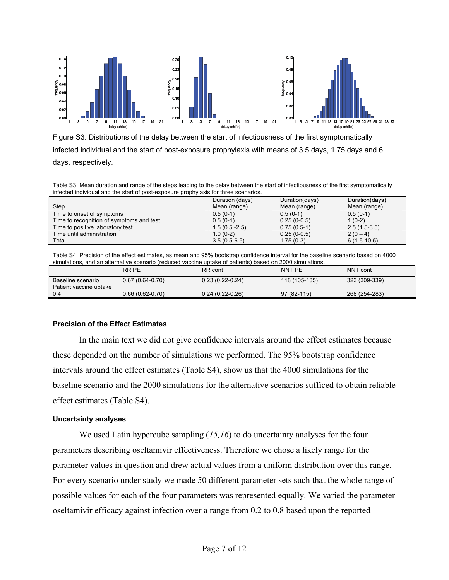

Figure S3. Distributions of the delay between the start of infectiousness of the first symptomatically infected individual and the start of post-exposure prophylaxis with means of 3.5 days, 1.75 days and 6 days, respectively.

Table S3. Mean duration and range of the steps leading to the delay between the start of infectiousness of the first symptomatically infected individual and the start of post-exposure prophylaxis for three scenarios.

|                                          | Duration (days)  | Duration(days) | Duration(days) |
|------------------------------------------|------------------|----------------|----------------|
| Step                                     | Mean (range)     | Mean (range)   | Mean (range)   |
| Time to onset of symptoms                | $0.5(0-1)$       | $0.5(0-1)$     | $0.5(0-1)$     |
| Time to recognition of symptoms and test | $0.5(0-1)$       | $0.25(0-0.5)$  | $1(0-2)$       |
| Time to positive laboratory test         | $1.5(0.5 - 2.5)$ | $0.75(0.5-1)$  | $2.5(1.5-3.5)$ |
| Time until administration                | $1.0(0-2)$       | $0.25(0-0.5)$  | $2(0-4)$       |
| Total                                    | $3.5(0.5-6.5)$   | $1.75(0-3)$    | $6(1.5-10.5)$  |

Table S4. Precision of the effect estimates, as mean and 95% bootstrap confidence interval for the baseline scenario based on 4000 simulations, and an alternative scenario (reduced vaccine uptake of patients) based on 2000 simulations.

|                                             | RR PE             | RR cont           | NNT PE        | NNT cont      |  |  |
|---------------------------------------------|-------------------|-------------------|---------------|---------------|--|--|
| Baseline scenario<br>Patient vaccine uptake | $0.67(0.64-0.70)$ | $0.23(0.22-0.24)$ | 118 (105-135) | 323 (309-339) |  |  |
| 0.4                                         | $0.66(0.62-0.70)$ | $0.24(0.22-0.26)$ | $97(82-115)$  | 268 (254-283) |  |  |

## **Precision of the Effect Estimates**

In the main text we did not give confidence intervals around the effect estimates because these depended on the number of simulations we performed. The 95% bootstrap confidence intervals around the effect estimates (Table S4), show us that the 4000 simulations for the baseline scenario and the 2000 simulations for the alternative scenarios sufficed to obtain reliable effect estimates (Table S4).

## **Uncertainty analyses**

We used Latin hypercube sampling (15,16) to do uncertainty analyses for the four parameters describing oseltamivir effectiveness. Therefore we chose a likely range for the parameter values in question and drew actual values from a uniform distribution over this range. For every scenario under study we made 50 different parameter sets such that the whole range of possible values for each of the four parameters was represented equally. We varied the parameter oseltamivir efficacy against infection over a range from 0.2 to 0.8 based upon the reported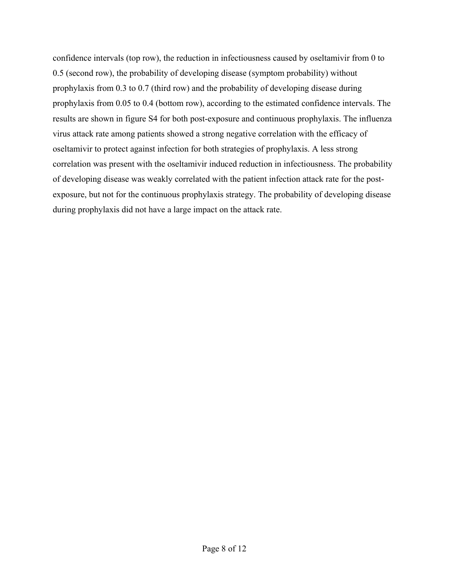confidence intervals (top row), the reduction in infectiousness caused by oseltamivir from 0 to 0.5 (second row), the probability of developing disease (symptom probability) without prophylaxis from 0.3 to 0.7 (third row) and the probability of developing disease during prophylaxis from 0.05 to 0.4 (bottom row), according to the estimated confidence intervals. The results are shown in figure S4 for both post-exposure and continuous prophylaxis. The influenza virus attack rate among patients showed a strong negative correlation with the efficacy of oseltamivir to protect against infection for both strategies of prophylaxis. A less strong correlation was present with the oseltamivir induced reduction in infectiousness. The probability of developing disease was weakly correlated with the patient infection attack rate for the postexposure, but not for the continuous prophylaxis strategy. The probability of developing disease during prophylaxis did not have a large impact on the attack rate.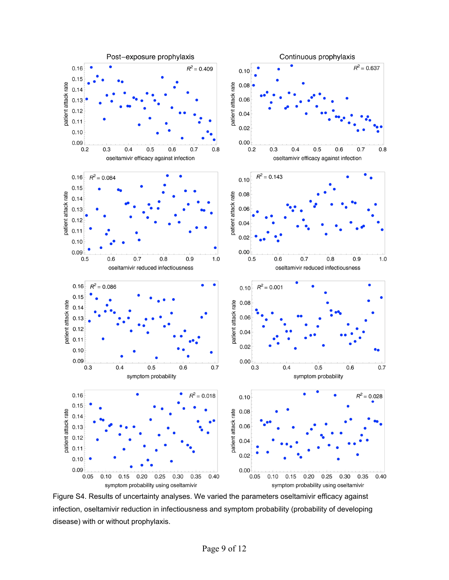

Figure S4. Results of uncertainty analyses. We varied the parameters oseltamivir efficacy against infection, oseltamivir reduction in infectiousness and symptom probability (probability of developing disease) with or without prophylaxis.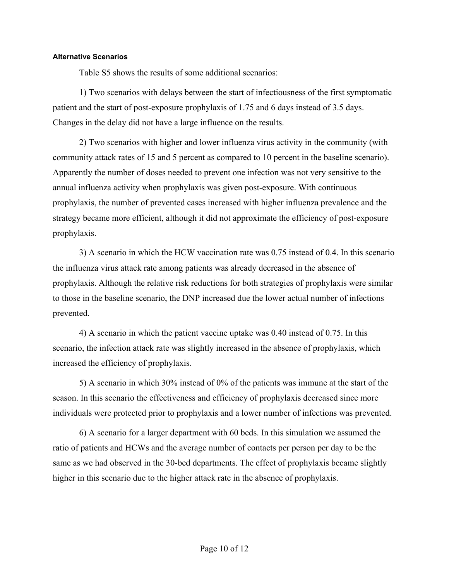## **Alternative Scenarios**

Table S5 shows the results of some additional scenarios:

1) Two scenarios with delays between the start of infectiousness of the first symptomatic patient and the start of post-exposure prophylaxis of 1.75 and 6 days instead of 3.5 days. Changes in the delay did not have a large influence on the results.

2) Two scenarios with higher and lower influenza virus activity in the community (with community attack rates of 15 and 5 percent as compared to 10 percent in the baseline scenario). Apparently the number of doses needed to prevent one infection was not very sensitive to the annual influenza activity when prophylaxis was given post-exposure. With continuous prophylaxis, the number of prevented cases increased with higher influenza prevalence and the strategy became more efficient, although it did not approximate the efficiency of post-exposure prophylaxis.

3) A scenario in which the HCW vaccination rate was 0.75 instead of 0.4. In this scenario the influenza virus attack rate among patients was already decreased in the absence of prophylaxis. Although the relative risk reductions for both strategies of prophylaxis were similar to those in the baseline scenario, the DNP increased due the lower actual number of infections prevented.

4) A scenario in which the patient vaccine uptake was 0.40 instead of 0.75. In this scenario, the infection attack rate was slightly increased in the absence of prophylaxis, which increased the efficiency of prophylaxis.

5) A scenario in which 30% instead of 0% of the patients was immune at the start of the season. In this scenario the effectiveness and efficiency of prophylaxis decreased since more individuals were protected prior to prophylaxis and a lower number of infections was prevented.

6) A scenario for a larger department with 60 beds. In this simulation we assumed the ratio of patients and HCWs and the average number of contacts per person per day to be the same as we had observed in the 30-bed departments. The effect of prophylaxis became slightly higher in this scenario due to the higher attack rate in the absence of prophylaxis.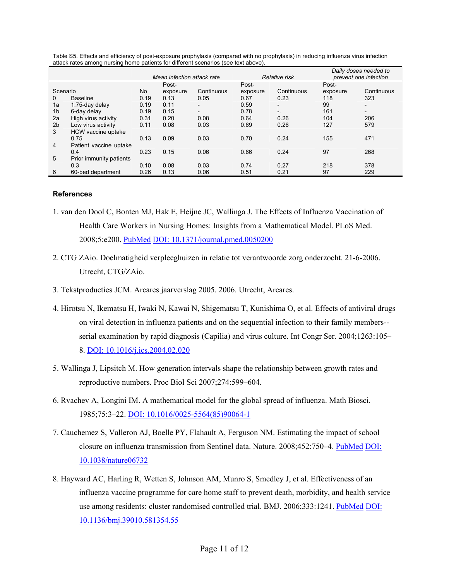|                |                         |      |                            |                          | Daily doses needed to |                          |          |                          |  |
|----------------|-------------------------|------|----------------------------|--------------------------|-----------------------|--------------------------|----------|--------------------------|--|
|                |                         |      | Mean infection attack rate |                          |                       | Relative risk            |          | prevent one infection    |  |
|                |                         |      | Post-                      |                          | Post-                 |                          | Post-    |                          |  |
| Scenario       |                         | No   | exposure                   | Continuous               | exposure              | Continuous               | exposure | Continuous               |  |
| $\Omega$       | <b>Baseline</b>         | 0.19 | 0.13                       | 0.05                     | 0.67                  | 0.23                     | 118      | 323                      |  |
| 1a             | 1.75-day delay          | 0.19 | 0.11                       | $\overline{\phantom{a}}$ | 0.59                  | $\overline{\phantom{a}}$ | 99       |                          |  |
| 1 <sub>b</sub> | 6-day delay             | 0.19 | 0.15                       | $\overline{\phantom{a}}$ | 0.78                  | $-$                      | 161      | $\overline{\phantom{0}}$ |  |
| 2a             | High virus activity     | 0.31 | 0.20                       | 0.08                     | 0.64                  | 0.26                     | 104      | 206                      |  |
| 2 <sub>b</sub> | Low virus activity      | 0.11 | 0.08                       | 0.03                     | 0.69                  | 0.26                     | 127      | 579                      |  |
| 3              | HCW vaccine uptake      |      |                            |                          |                       |                          |          |                          |  |
|                | 0.75                    | 0.13 | 0.09                       | 0.03                     | 0.70                  | 0.24                     | 155      | 471                      |  |
| 4              | Patient vaccine uptake  |      |                            |                          |                       |                          |          |                          |  |
|                | 0.4                     | 0.23 | 0.15                       | 0.06                     | 0.66                  | 0.24                     | 97       | 268                      |  |
| 5              | Prior immunity patients |      |                            |                          |                       |                          |          |                          |  |
|                | 0.3                     | 0.10 | 0.08                       | 0.03                     | 0.74                  | 0.27                     | 218      | 378                      |  |
| 6              | 60-bed department       | 0.26 | 0.13                       | 0.06                     | 0.51                  | 0.21                     | 97       | 229                      |  |

Table S5. Effects and efficiency of post-exposure prophylaxis (compared with no prophylaxis) in reducing influenza virus infection attack rates among nursing home patients for different scenarios (see text above).

#### **References**

- 1. van den Dool C, Bonten MJ, Hak E, Heijne JC, Wallinga J. The Effects of Influenza Vaccination of Health Care Workers in Nursing Homes: Insights from a Mathematical Model. PLoS Med. 2008;5:e200. [PubMed](http://www.ncbi.nlm.nih.gov/sites/entrez?cmd=Retrieve&db=PubMed&list_uids=18959470&dopt=Abstract) [DOI: 10.1371/journal.pmed.0050200](http://dx.doi.org/10.1371/journal.pmed.0050200)
- 2. CTG ZAio. Doelmatigheid verpleeghuizen in relatie tot verantwoorde zorg onderzocht. 21-6-2006. Utrecht, CTG/ZAio.
- 3. Tekstproducties JCM. Arcares jaarverslag 2005. 2006. Utrecht, Arcares.
- 4. Hirotsu N, Ikematsu H, Iwaki N, Kawai N, Shigematsu T, Kunishima O, et al. Effects of antiviral drugs on viral detection in influenza patients and on the sequential infection to their family members- serial examination by rapid diagnosis (Capilia) and virus culture. Int Congr Ser. 2004;1263:105– 8. [DOI: 10.1016/j.ics.2004.02.020](http://dx.doi.org/10.1016/j.ics.2004.02.020)
- 5. Wallinga J, Lipsitch M. How generation intervals shape the relationship between growth rates and reproductive numbers. Proc Biol Sci 2007;274:599–604.
- 6. Rvachev A, Longini IM. A mathematical model for the global spread of influenza. Math Biosci. 1985;75:3–22. [DOI: 10.1016/0025-5564\(85\)90064-1](http://dx.doi.org/10.1016/0025-5564(85)90064-1)
- 7. Cauchemez S, Valleron AJ, Boelle PY, Flahault A, Ferguson NM. Estimating the impact of school closure on influenza transmission from Sentinel data. Nature. 2008;452:750–4[. PubMed](http://www.ncbi.nlm.nih.gov/sites/entrez?cmd=Retrieve&db=PubMed&list_uids=18401408&dopt=Abstract) [DOI:](http://dx.doi.org/10.1038/nature06732)  [10.1038/nature06732](http://dx.doi.org/10.1038/nature06732)
- 8. Hayward AC, Harling R, Wetten S, Johnson AM, Munro S, Smedley J, et al. Effectiveness of an influenza vaccine programme for care home staff to prevent death, morbidity, and health service use among residents: cluster randomised controlled trial. BMJ. 2006;333:1241[. PubMed](http://www.ncbi.nlm.nih.gov/sites/entrez?cmd=Retrieve&db=PubMed&list_uids=17142257&dopt=Abstract) DOI: [10.1136/bmj.39010.581354.55](http://dx.doi.org/10.1136/bmj.39010.581354.55)